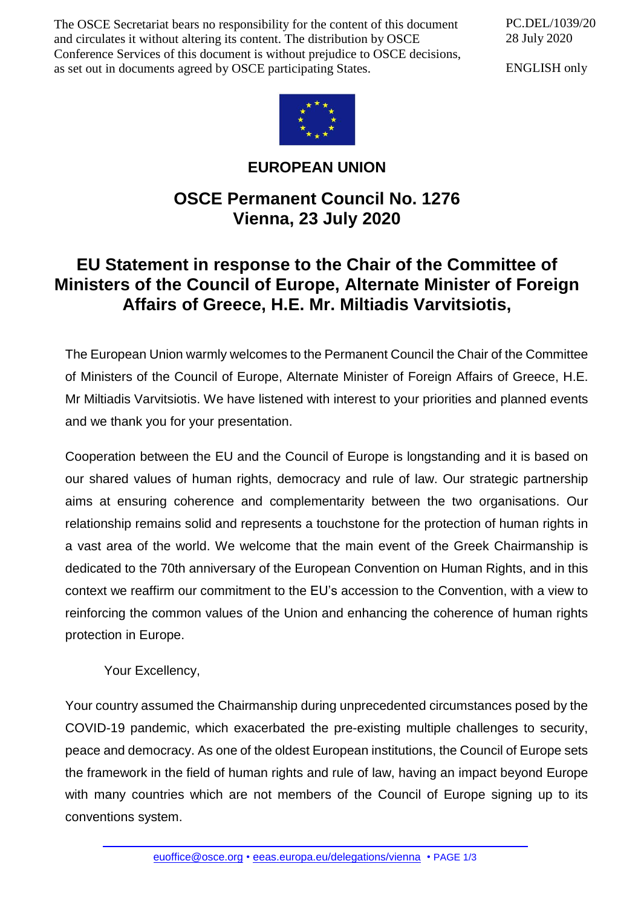The OSCE Secretariat bears no responsibility for the content of this document and circulates it without altering its content. The distribution by OSCE Conference Services of this document is without prejudice to OSCE decisions, as set out in documents agreed by OSCE participating States.

PC.DEL/1039/20 28 July 2020

ENGLISH only



**EUROPEAN UNION**

## **OSCE Permanent Council No. 1276 Vienna, 23 July 2020**

## **EU Statement in response to the Chair of the Committee of Ministers of the Council of Europe, Alternate Minister of Foreign Affairs of Greece, H.E. Mr. Miltiadis Varvitsiotis,**

The European Union warmly welcomes to the Permanent Council the Chair of the Committee of Ministers of the Council of Europe, Alternate Minister of Foreign Affairs of Greece, H.E. Mr Miltiadis Varvitsiotis. We have listened with interest to your priorities and planned events and we thank you for your presentation.

Cooperation between the EU and the Council of Europe is longstanding and it is based on our shared values of human rights, democracy and rule of law. Our strategic partnership aims at ensuring coherence and complementarity between the two organisations. Our relationship remains solid and represents a touchstone for the protection of human rights in a vast area of the world. We welcome that the main event of the Greek Chairmanship is dedicated to the 70th anniversary of the European Convention on Human Rights, and in this context we reaffirm our commitment to the EU's accession to the Convention, with a view to reinforcing the common values of the Union and enhancing the coherence of human rights protection in Europe.

Your Excellency,

Your country assumed the Chairmanship during unprecedented circumstances posed by the COVID-19 pandemic, which exacerbated the pre-existing multiple challenges to security, peace and democracy. As one of the oldest European institutions, the Council of Europe sets the framework in the field of human rights and rule of law, having an impact beyond Europe with many countries which are not members of the Council of Europe signing up to its conventions system.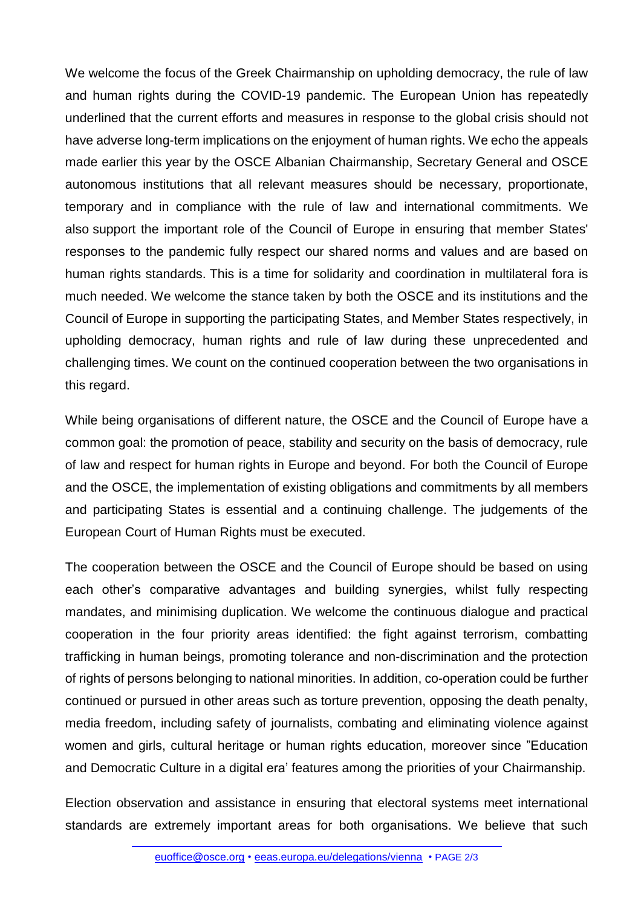We welcome the focus of the Greek Chairmanship on upholding democracy, the rule of law and human rights during the COVID-19 pandemic. The European Union has repeatedly underlined that the current efforts and measures in response to the global crisis should not have adverse long-term implications on the enjoyment of human rights. We echo the appeals made earlier this year by the OSCE Albanian Chairmanship, Secretary General and OSCE autonomous institutions that all relevant measures should be necessary, proportionate, temporary and in compliance with the rule of law and international commitments. We also support the important role of the Council of Europe in ensuring that member States' responses to the pandemic fully respect our shared norms and values and are based on human rights standards. This is a time for solidarity and coordination in multilateral fora is much needed. We welcome the stance taken by both the OSCE and its institutions and the Council of Europe in supporting the participating States, and Member States respectively, in upholding democracy, human rights and rule of law during these unprecedented and challenging times. We count on the continued cooperation between the two organisations in this regard.

While being organisations of different nature, the OSCE and the Council of Europe have a common goal: the promotion of peace, stability and security on the basis of democracy, rule of law and respect for human rights in Europe and beyond. For both the Council of Europe and the OSCE, the implementation of existing obligations and commitments by all members and participating States is essential and a continuing challenge. The judgements of the European Court of Human Rights must be executed.

The cooperation between the OSCE and the Council of Europe should be based on using each other's comparative advantages and building synergies, whilst fully respecting mandates, and minimising duplication. We welcome the continuous dialogue and practical cooperation in the four priority areas identified: the fight against terrorism, combatting trafficking in human beings, promoting tolerance and non-discrimination and the protection of rights of persons belonging to national minorities. In addition, co-operation could be further continued or pursued in other areas such as torture prevention, opposing the death penalty, media freedom, including safety of journalists, combating and eliminating violence against women and girls, cultural heritage or human rights education, moreover since "Education and Democratic Culture in a digital era' features among the priorities of your Chairmanship.

Election observation and assistance in ensuring that electoral systems meet international standards are extremely important areas for both organisations. We believe that such